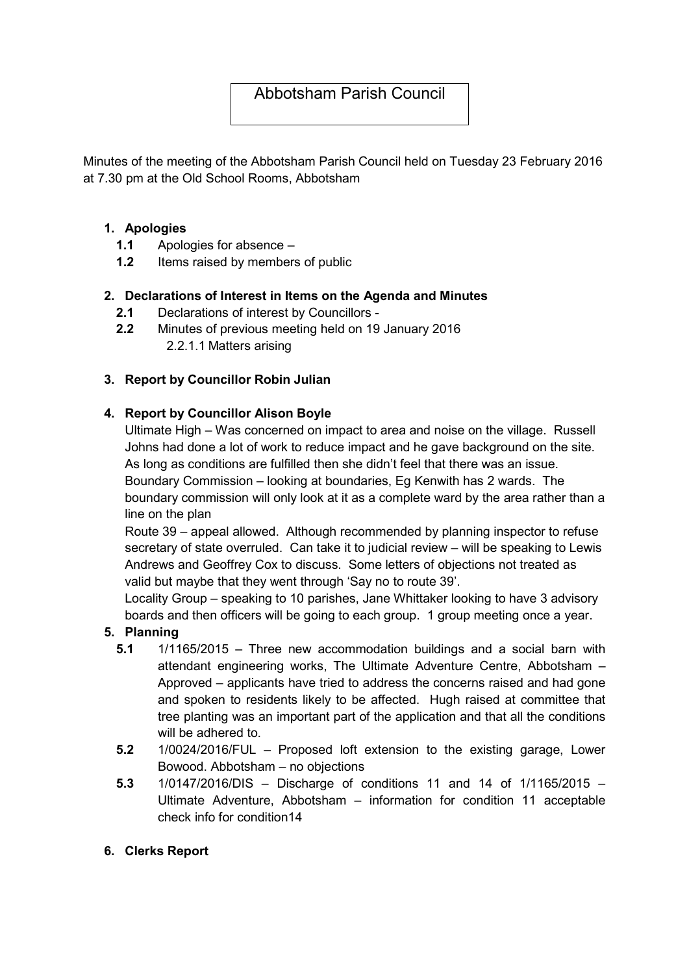# Abbotsham Parish Council

Minutes of the meeting of the Abbotsham Parish Council held on Tuesday 23 February 2016 at 7.30 pm at the Old School Rooms, Abbotsham

### 1. Apologies

- 1.1 Apologies for absence –
- 1.2 Items raised by members of public

### 2. Declarations of Interest in Items on the Agenda and Minutes

- 2.1 Declarations of interest by Councillors -
- 2.2 Minutes of previous meeting held on 19 January 2016 2.2.1.1 Matters arising

# 3. Report by Councillor Robin Julian

### 4. Report by Councillor Alison Boyle

Ultimate High – Was concerned on impact to area and noise on the village. Russell Johns had done a lot of work to reduce impact and he gave background on the site. As long as conditions are fulfilled then she didn't feel that there was an issue. Boundary Commission – looking at boundaries, Eg Kenwith has 2 wards. The boundary commission will only look at it as a complete ward by the area rather than a line on the plan

Route 39 – appeal allowed. Although recommended by planning inspector to refuse secretary of state overruled. Can take it to judicial review – will be speaking to Lewis Andrews and Geoffrey Cox to discuss. Some letters of objections not treated as valid but maybe that they went through 'Say no to route 39'.

Locality Group – speaking to 10 parishes, Jane Whittaker looking to have 3 advisory boards and then officers will be going to each group. 1 group meeting once a year.

# 5. Planning

- 5.1 1/1165/2015 Three new accommodation buildings and a social barn with attendant engineering works, The Ultimate Adventure Centre, Abbotsham – Approved – applicants have tried to address the concerns raised and had gone and spoken to residents likely to be affected. Hugh raised at committee that tree planting was an important part of the application and that all the conditions will be adhered to.
- 5.2 1/0024/2016/FUL Proposed loft extension to the existing garage, Lower Bowood. Abbotsham – no objections
- 5.3 1/0147/2016/DIS Discharge of conditions 11 and 14 of 1/1165/2015 Ultimate Adventure, Abbotsham – information for condition 11 acceptable check info for condition14

#### 6. Clerks Report